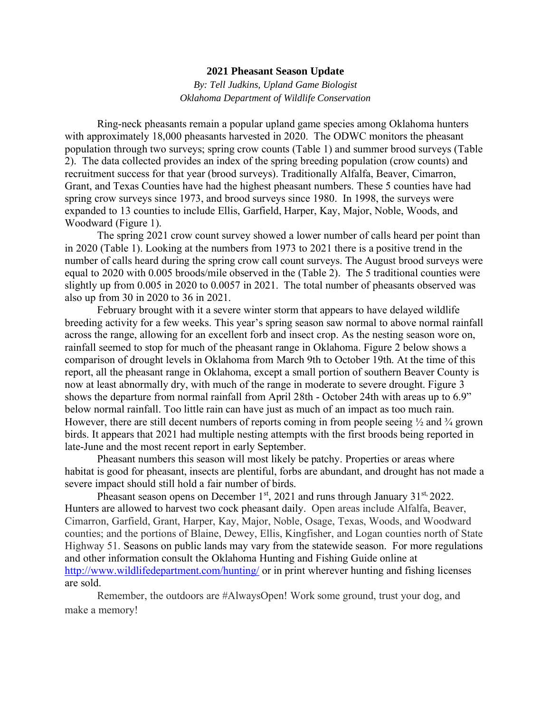## **2021 Pheasant Season Update**

*By: Tell Judkins, Upland Game Biologist Oklahoma Department of Wildlife Conservation*

Ring-neck pheasants remain a popular upland game species among Oklahoma hunters with approximately 18,000 pheasants harvested in 2020. The ODWC monitors the pheasant population through two surveys; spring crow counts (Table 1) and summer brood surveys (Table 2). The data collected provides an index of the spring breeding population (crow counts) and recruitment success for that year (brood surveys). Traditionally Alfalfa, Beaver, Cimarron, Grant, and Texas Counties have had the highest pheasant numbers. These 5 counties have had spring crow surveys since 1973, and brood surveys since 1980. In 1998, the surveys were expanded to 13 counties to include Ellis, Garfield, Harper, Kay, Major, Noble, Woods, and Woodward (Figure 1).

 The spring 2021 crow count survey showed a lower number of calls heard per point than in 2020 (Table 1). Looking at the numbers from 1973 to 2021 there is a positive trend in the number of calls heard during the spring crow call count surveys. The August brood surveys were equal to 2020 with 0.005 broods/mile observed in the (Table 2). The 5 traditional counties were slightly up from 0.005 in 2020 to 0.0057 in 2021. The total number of pheasants observed was also up from 30 in 2020 to 36 in 2021.

February brought with it a severe winter storm that appears to have delayed wildlife breeding activity for a few weeks. This year's spring season saw normal to above normal rainfall across the range, allowing for an excellent forb and insect crop. As the nesting season wore on, rainfall seemed to stop for much of the pheasant range in Oklahoma. Figure 2 below shows a comparison of drought levels in Oklahoma from March 9th to October 19th. At the time of this report, all the pheasant range in Oklahoma, except a small portion of southern Beaver County is now at least abnormally dry, with much of the range in moderate to severe drought. Figure 3 shows the departure from normal rainfall from April 28th - October 24th with areas up to 6.9" below normal rainfall. Too little rain can have just as much of an impact as too much rain. However, there are still decent numbers of reports coming in from people seeing  $\frac{1}{2}$  and  $\frac{3}{4}$  grown birds. It appears that 2021 had multiple nesting attempts with the first broods being reported in late-June and the most recent report in early September.

Pheasant numbers this season will most likely be patchy. Properties or areas where habitat is good for pheasant, insects are plentiful, forbs are abundant, and drought has not made a severe impact should still hold a fair number of birds.

Pheasant season opens on December  $1<sup>st</sup>$ , 2021 and runs through January 31 $<sup>st</sup>$ , 2022.</sup> Hunters are allowed to harvest two cock pheasant daily. Open areas include Alfalfa, Beaver, Cimarron, Garfield, Grant, Harper, Kay, Major, Noble, Osage, Texas, Woods, and Woodward counties; and the portions of Blaine, Dewey, Ellis, Kingfisher, and Logan counties north of State Highway 51. Seasons on public lands may vary from the statewide season. For more regulations and other information consult the Oklahoma Hunting and Fishing Guide online a[t](http://www.wildlifedepartment.com/hunting/) <http://www.wildlifedepartment.com/hunting/> or in print wherever hunting and fishing licenses are sold.

Remember, the outdoors are #AlwaysOpen! Work some ground, trust your dog, and make a memory!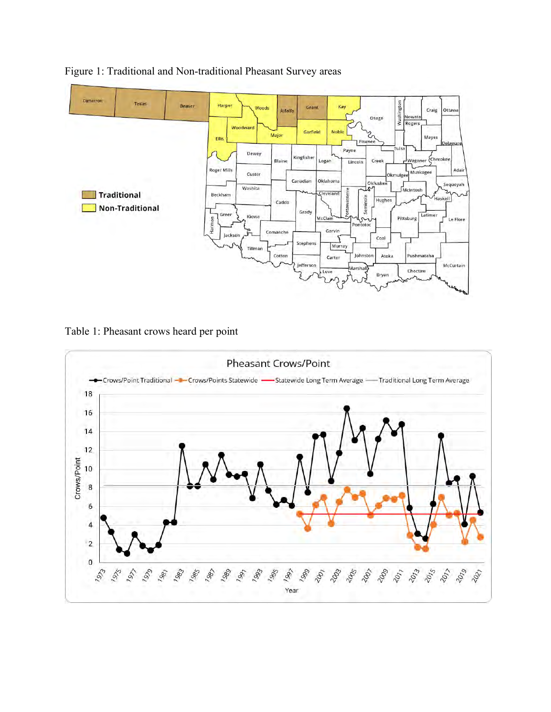

## Figure 1: Traditional and Non-traditional Pheasant Survey areas

Table 1: Pheasant crows heard per point

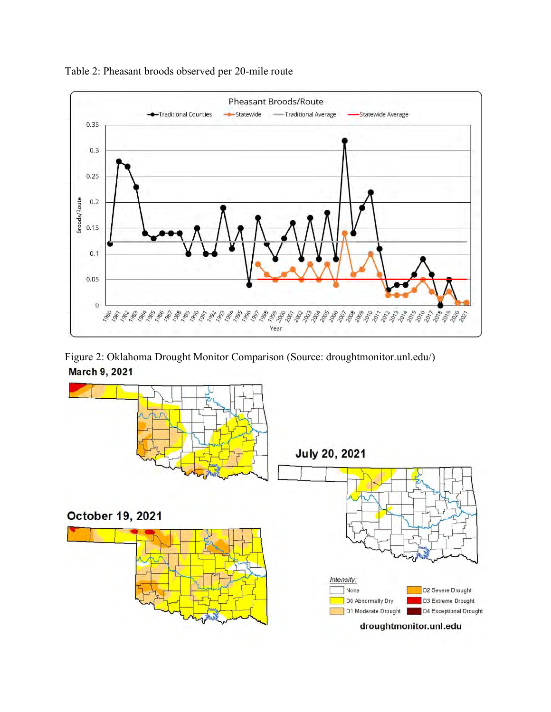

Table 2: Pheasant broods observed per 20-mile route

Figure 2: Oklahoma Drought Monitor Comparison (Source: droughtmonitor.unl.edu/)March 9, 2021